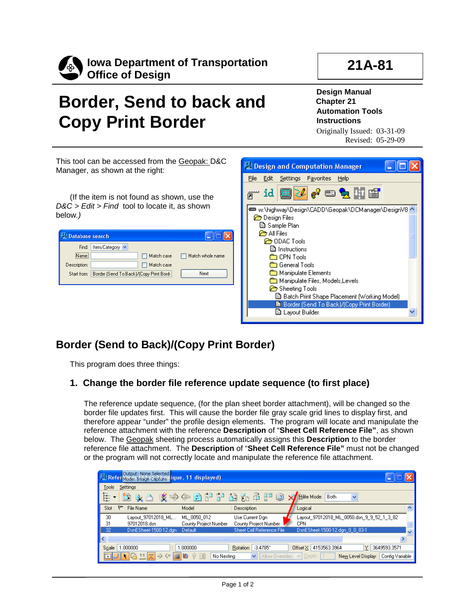

# **Border, Send to back and Copy Print Border**

**Design Manual Chapter 21 Automation Tools Instructions** Originally Issued: 03-31-09 Revised: 05-29-09

This tool can be accessed from the Geopak: D&C Manager, as shown at the right:

(If the item is not found as shown, use the *D&C > Edit > Find* tool to locate it, as shown below*.)*

| <b>Database search</b> |                                         |                  |
|------------------------|-----------------------------------------|------------------|
| Find:                  | Item/Category V                         |                  |
| Name:                  | Match case                              | Match whole name |
| Description:           | Match case                              |                  |
| Start from:            | Border (Send To Back)/(Copy Print Bord- | Next             |
|                        |                                         |                  |



## **Border (Send to Back)/(Copy Print Border)**

This program does three things:

### **1. Change the border file reference update sequence (to first place)**

The reference update sequence, (for the plan sheet border attachment), will be changed so the border file updates first. This will cause the border file gray scale grid lines to display first, and therefore appear "under" the profile design elements. The program will locate and manipulate the reference attachment with the reference **Description** of "**Sheet Cell Reference File"**, as shown below. The Geopak sheeting process automatically assigns this **Description** to the border reference file attachment. The **Description** of "**Sheet Cell Reference File"** must not be changed or the program will not correctly locate and manipulate the reference file attachment.

|                                    | N: Refer Mode: Image Capture nique, 11 displayed) |                       |                                      |                                           |                                       |
|------------------------------------|---------------------------------------------------|-----------------------|--------------------------------------|-------------------------------------------|---------------------------------------|
| Tools                              | Settings                                          |                       |                                      |                                           |                                       |
| Ē                                  |                                                   |                       | はんマ じゅうしょう アンドミーク                    | ×I<br>Hilite Mode:<br>Both                | $\checkmark$                          |
| Slot:                              | $\triangleright$<br>File Name                     | Model                 | Description                          | Logical                                   |                                       |
| 30                                 | Layout 97012018 ML                                | ML 0050 012           | Use Current Dan                      | Layout_97012018_ML_0050.dsn_9_9_52_1_3_82 |                                       |
| 31                                 | 97012018.dsn                                      | County Project Number | County Project Number                | <b>CPN</b>                                |                                       |
| 32                                 | DsnESheet-1500-12.dgn                             | - Default             | Sheet Cell Reference File            | DsnESheet-1500-12.dgn 0 0 83-1            | $\overline{\mathbf{v}}$               |
|                                    |                                                   |                       | THE <sub>1</sub>                     |                                           |                                       |
| Scale                              | 1.000000                                          | 1.000000              | $-3.4785^{\circ}$<br><b>Rotation</b> | Offset X 4153563.3964                     | 3649593.3571<br>Y                     |
| $\left\lfloor \cdot \right\rfloor$ | 』▶ 乌出咒 > ←                                        | $\blacksquare$        | No Nesting<br>$\checkmark$           | Allow Overrides $\vee$ Depth:   1         | Config Variable<br>New Level Display: |